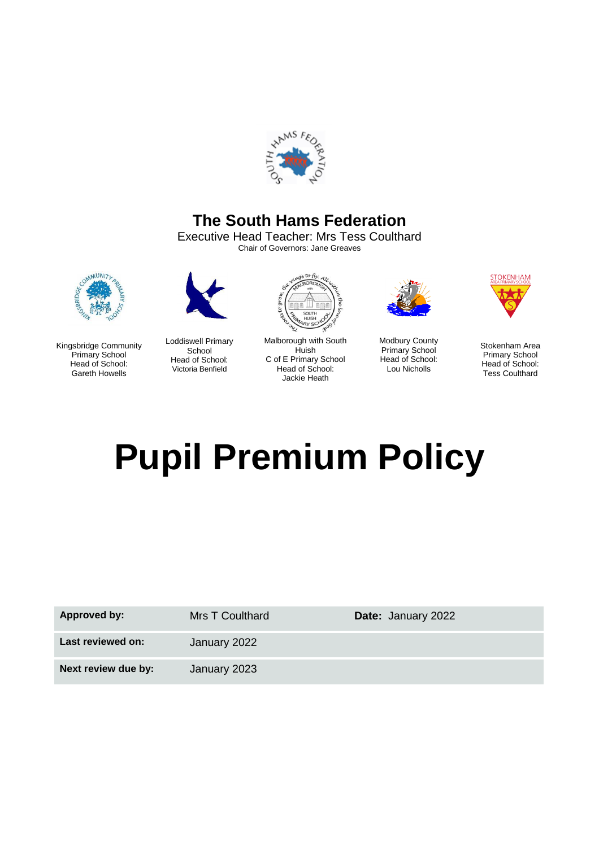

# **The South Hams Federation**

Executive Head Teacher: Mrs Tess Coulthard Chair of Governors: Jane Greaves



Kingsbridge Community Primary School Head of School: Gareth Howells



Loddiswell Primary School Head of School: Victoria Benfield



Malborough with South Huish C of E Primary School Head of School: Jackie Heath



Modbury County Primary School Head of School: Lou Nicholls



Stokenham Area Primary School Head of School: Tess Coulthard

# **Pupil Premium Policy**

| <b>Approved by:</b> | <b>Mrs T Coulthard</b> | <b>Date: January 2022</b> |
|---------------------|------------------------|---------------------------|
| Last reviewed on:   | January 2022           |                           |
| Next review due by: | January 2023           |                           |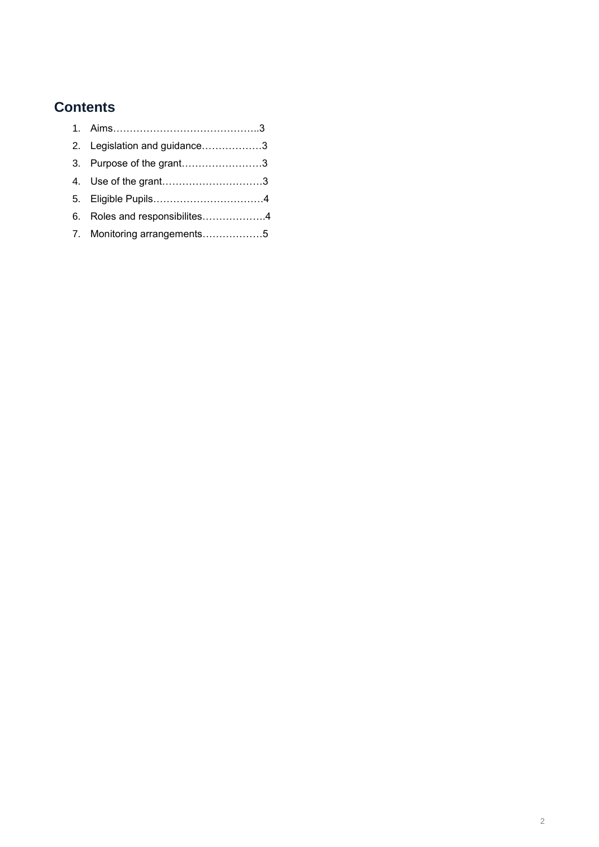# **Contents**

| 2. Legislation and guidance3  |
|-------------------------------|
| 3. Purpose of the grant3      |
|                               |
|                               |
| 6. Roles and responsibilites4 |
| 7. Monitoring arrangements5   |
|                               |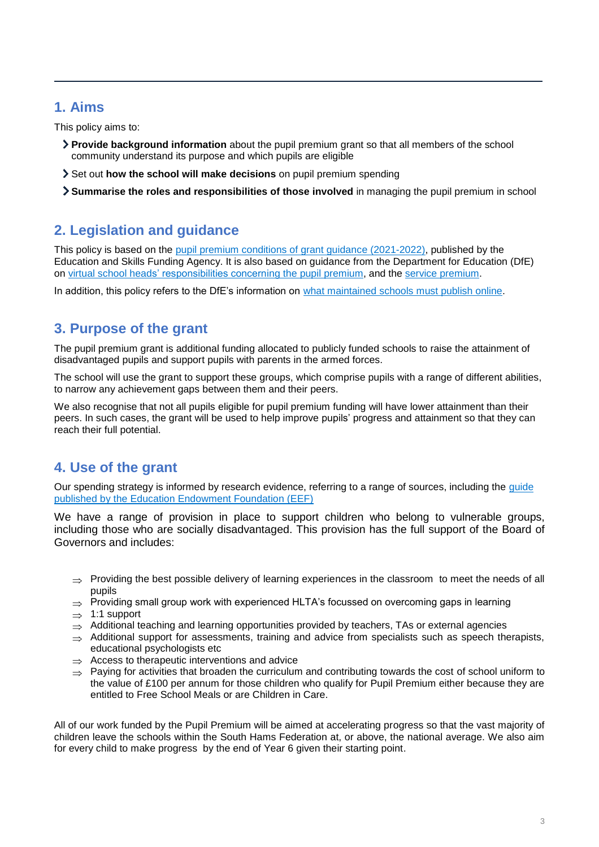## **1. Aims**

This policy aims to:

- **Provide background information** about the pupil premium grant so that all members of the school community understand its purpose and which pupils are eligible
- Set out **how the school will make decisions** on pupil premium spending
- **Summarise the roles and responsibilities of those involved** in managing the pupil premium in school

# **2. Legislation and guidance**

This policy is based on the [pupil premium conditions of grant guidance \(2021-2022\),](https://www.gov.uk/government/publications/pupil-premium-allocations-and-conditions-of-grant-2021-to-2022/pupil-premium-conditions-of-grant-2021-to-2022-for-local-authorities) published by the Education and Skills Funding Agency. It is also based on guidance from the Department for Education (DfE) on [virtual school heads' responsibilities concerning the pupil premium,](https://www.gov.uk/guidance/pupil-premium-virtual-school-heads-responsibilities) and the [service premium.](https://www.gov.uk/guidance/service-premium-information-for-schools)

In addition, this policy refers to the DfE's information on [what maintained schools must publish online.](https://www.gov.uk/guidance/what-maintained-schools-must-publish-online#pupil-premium)

# **3. Purpose of the grant**

The pupil premium grant is additional funding allocated to publicly funded schools to raise the attainment of disadvantaged pupils and support pupils with parents in the armed forces.

The school will use the grant to support these groups, which comprise pupils with a range of different abilities, to narrow any achievement gaps between them and their peers.

We also recognise that not all pupils eligible for pupil premium funding will have lower attainment than their peers. In such cases, the grant will be used to help improve pupils' progress and attainment so that they can reach their full potential.

# **4. Use of the grant**

Our spending strategy is informed by research evidence, referring to a range of sources, including the [guide](https://educationendowmentfoundation.org.uk/evidence-summaries/pupil-premium-guide/) [published by the Education Endowment Foundation \(EEF\)](https://educationendowmentfoundation.org.uk/evidence-summaries/pupil-premium-guide/)

We have a range of provision in place to support children who belong to vulnerable groups, including those who are socially disadvantaged. This provision has the full support of the Board of Governors and includes:

- $\Rightarrow$  Providing the best possible delivery of learning experiences in the classroom to meet the needs of all pupils
- $\Rightarrow$  Providing small group work with experienced HLTA's focussed on overcoming gaps in learning
- $\Rightarrow$  1:1 support
- $\Rightarrow$  Additional teaching and learning opportunities provided by teachers, TAs or external agencies
- $\Rightarrow$  Additional support for assessments, training and advice from specialists such as speech therapists, educational psychologists etc
- $\Rightarrow$  Access to therapeutic interventions and advice
- $\Rightarrow$  Paying for activities that broaden the curriculum and contributing towards the cost of school uniform to the value of £100 per annum for those children who qualify for Pupil Premium either because they are entitled to Free School Meals or are Children in Care.

All of our work funded by the Pupil Premium will be aimed at accelerating progress so that the vast majority of children leave the schools within the South Hams Federation at, or above, the national average. We also aim for every child to make progress by the end of Year 6 given their starting point.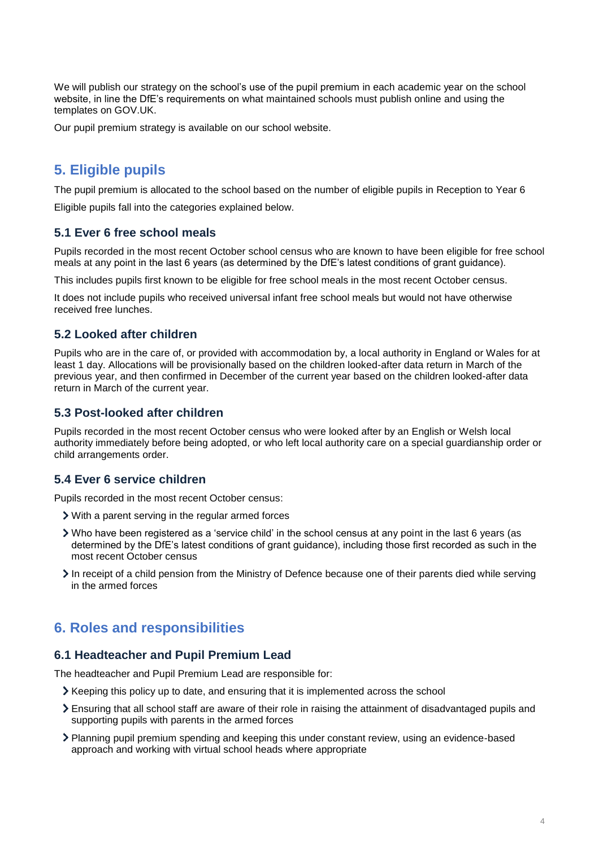We will publish our strategy on the school's use of the pupil premium in each academic year on the school website, in line the DfE's requirements on what maintained schools must publish online and using the templates on GOV.UK.

Our pupil premium strategy is available on our school website.

## **5. Eligible pupils**

The pupil premium is allocated to the school based on the number of eligible pupils in Reception to Year 6

Eligible pupils fall into the categories explained below.

#### **5.1 Ever 6 free school meals**

Pupils recorded in the most recent October school census who are known to have been eligible for free school meals at any point in the last 6 years (as determined by the DfE's latest conditions of grant guidance).

This includes pupils first known to be eligible for free school meals in the most recent October census.

It does not include pupils who received universal infant free school meals but would not have otherwise received free lunches.

#### **5.2 Looked after children**

Pupils who are in the care of, or provided with accommodation by, a local authority in England or Wales for at least 1 day. Allocations will be provisionally based on the children looked-after data return in March of the previous year, and then confirmed in December of the current year based on the children looked-after data return in March of the current year.

#### **5.3 Post-looked after children**

Pupils recorded in the most recent October census who were looked after by an English or Welsh local authority immediately before being adopted, or who left local authority care on a special guardianship order or child arrangements order.

#### **5.4 Ever 6 service children**

Pupils recorded in the most recent October census:

- With a parent serving in the regular armed forces
- Who have been registered as a 'service child' in the school census at any point in the last 6 years (as determined by the DfE's latest conditions of grant guidance), including those first recorded as such in the most recent October census
- In receipt of a child pension from the Ministry of Defence because one of their parents died while serving in the armed forces

### **6. Roles and responsibilities**

#### **6.1 Headteacher and Pupil Premium Lead**

The headteacher and Pupil Premium Lead are responsible for:

- $\geq$  Keeping this policy up to date, and ensuring that it is implemented across the school
- Ensuring that all school staff are aware of their role in raising the attainment of disadvantaged pupils and supporting pupils with parents in the armed forces
- Planning pupil premium spending and keeping this under constant review, using an evidence-based approach and working with virtual school heads where appropriate